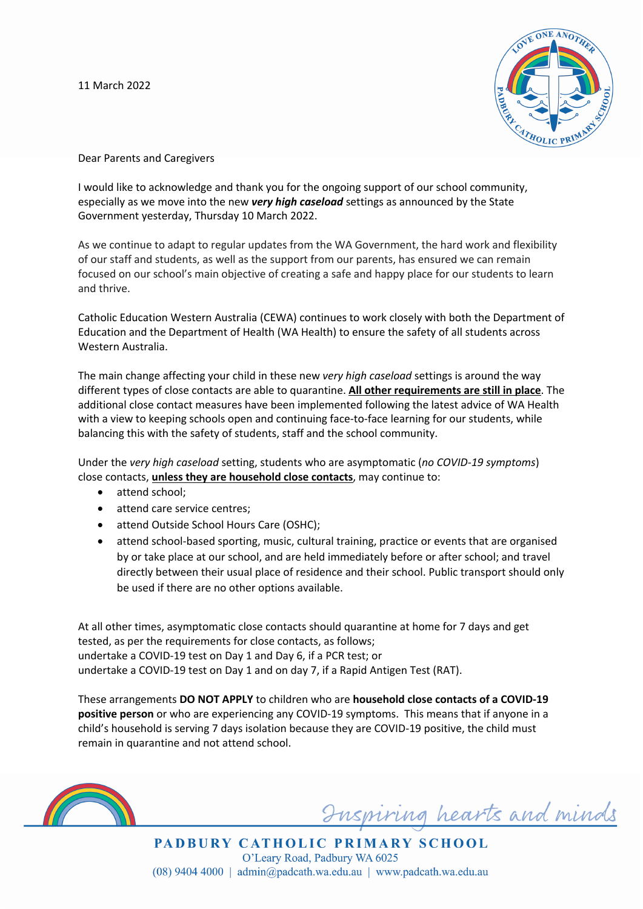11 March 2022



Dear Parents and Caregivers

I would like to acknowledge and thank you for the ongoing support of our school community, especially as we move into the new *very high caseload* settings as announced by the State Government yesterday, Thursday 10 March 2022.

As we continue to adapt to regular updates from the WA Government, the hard work and flexibility of our staff and students, as well as the support from our parents, has ensured we can remain focused on our school's main objective of creating a safe and happy place for our students to learn and thrive.

Catholic Education Western Australia (CEWA) continues to work closely with both the Department of Education and the Department of Health (WA Health) to ensure the safety of all students across Western Australia.

The main change affecting your child in these new *very high caseload* settings is around the way different types of close contacts are able to quarantine. **All other requirements are still in place**. The additional close contact measures have been implemented following the latest advice of WA Health with a view to keeping schools open and continuing face-to-face learning for our students, while balancing this with the safety of students, staff and the school community.

Under the *very high caseload* setting, students who are asymptomatic (*no COVID-19 symptoms*) close contacts, **unless they are household close contacts**, may continue to:

- attend school:
- attend care service centres;
- attend Outside School Hours Care (OSHC);
- attend school-based sporting, music, cultural training, practice or events that are organised by or take place at our school, and are held immediately before or after school; and travel directly between their usual place of residence and their school. Public transport should only be used if there are no other options available.

At all other times, asymptomatic close contacts should quarantine at home for 7 days and get tested, as per the requirements for close contacts, as follows; undertake a COVID-19 test on Day 1 and Day 6, if a PCR test; or undertake a COVID-19 test on Day 1 and on day 7, if a Rapid Antigen Test (RAT).

These arrangements **DO NOT APPLY** to children who are **household close contacts of a COVID-19 positive person** or who are experiencing any COVID-19 symptoms. This means that if anyone in a child's household is serving 7 days isolation because they are COVID-19 positive, the child must remain in quarantine and not attend school.



Inspiring hearts and minds

PADBURY CATHOLIC PRIMARY SCHOOL O'Leary Road, Padbury WA 6025  $(08)$  9404 4000 | admin@padcath.wa.edu.au | www.padcath.wa.edu.au